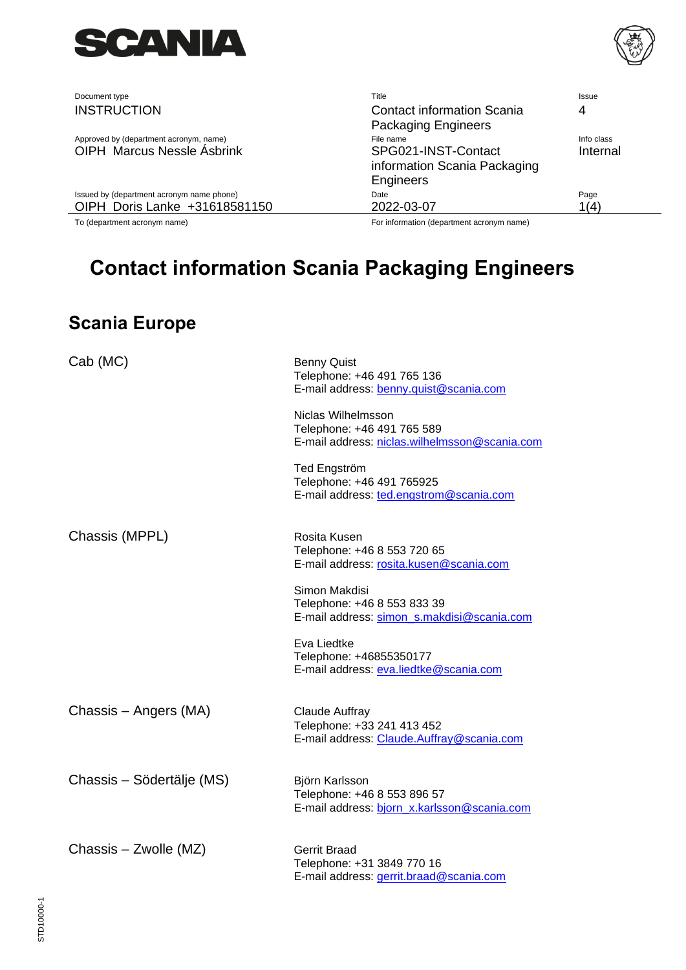

Document type **Title** Issue INSTRUCTION Contact information Scania

Approved by (department acronym, name)<br>
OIPH Marcus Nessle Asbrink

The name Info class

CIPH Marcus Nessle Asbrink

CIPH Marcus Nessle Expression OIPH Marcus Nessle Ásbrink

Issued by (department acronym name phone) Date Page OIPH Doris Lanke +31618581150 2022-03-07 1(4)

To (department acronym name) For information (department acronym name)

information Scania Packaging

<span id="page-0-0"></span>Packaging Engineers

Engineers

4

Internal

## **[Contact information Scania Packaging Engineers](#page-0-0)**

## **Scania Europe**

| Cab (MC)                  | <b>Benny Quist</b><br>Telephone: +46 491 765 136<br>E-mail address: benny.quist@scania.com        |
|---------------------------|---------------------------------------------------------------------------------------------------|
|                           | Niclas Wilhelmsson<br>Telephone: +46 491 765 589<br>E-mail address: niclas.wilhelmsson@scania.com |
|                           | Ted Engström<br>Telephone: +46 491 765925<br>E-mail address: ted.engstrom@scania.com              |
| Chassis (MPPL)            | Rosita Kusen<br>Telephone: +46 8 553 720 65<br>E-mail address: rosita.kusen@scania.com            |
|                           | Simon Makdisi<br>Telephone: +46 8 553 833 39<br>E-mail address: simon s.makdisi@scania.com        |
|                           | Eva Liedtke<br>Telephone: +46855350177<br>E-mail address: eva.liedtke@scania.com                  |
| Chassis - Angers (MA)     | Claude Auffray<br>Telephone: +33 241 413 452<br>E-mail address: Claude.Auffray@scania.com         |
| Chassis - Södertälje (MS) | Björn Karlsson<br>Telephone: +46 8 553 896 57<br>E-mail address: bjorn_x.karlsson@scania.com      |
| Chassis – Zwolle (MZ)     | <b>Gerrit Braad</b><br>Telephone: +31 3849 770 16<br>E-mail address: gerrit.braad@scania.com      |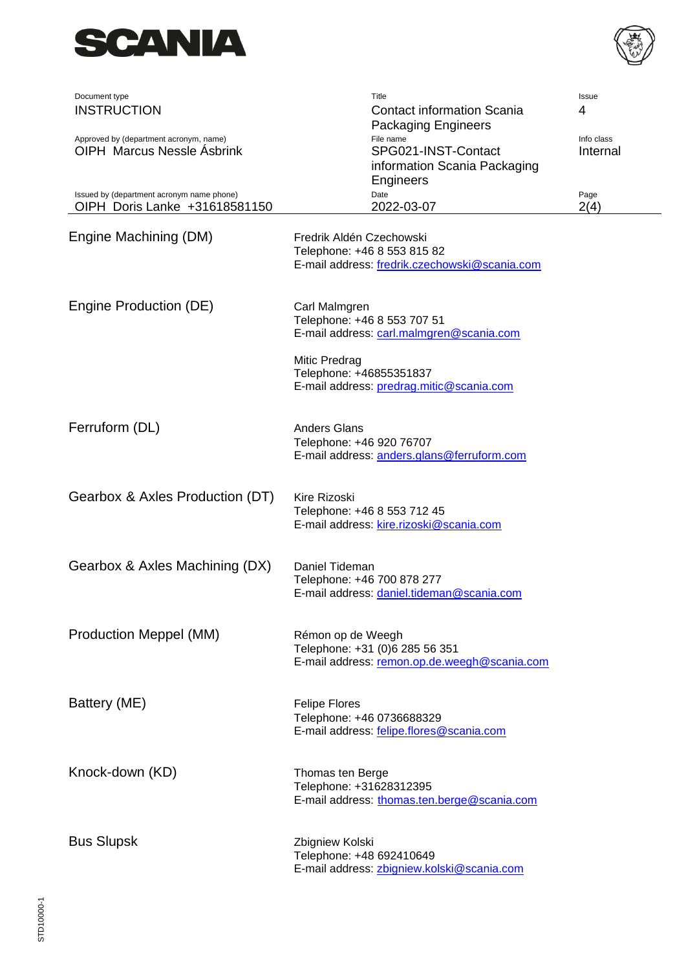



| Document type                                                               | Title                                                                                                    | Issue                  |
|-----------------------------------------------------------------------------|----------------------------------------------------------------------------------------------------------|------------------------|
| <b>INSTRUCTION</b>                                                          | <b>Contact information Scania</b><br><b>Packaging Engineers</b>                                          | 4                      |
| Approved by (department acronym, name)<br><b>OIPH Marcus Nessle Asbrink</b> | File name<br>SPG021-INST-Contact<br>information Scania Packaging<br><b>Engineers</b>                     | Info class<br>Internal |
| Issued by (department acronym name phone)<br>OIPH Doris Lanke +31618581150  | Date<br>2022-03-07                                                                                       | Page<br>2(4)           |
| Engine Machining (DM)                                                       | Fredrik Aldén Czechowski<br>Telephone: +46 8 553 815 82<br>E-mail address: fredrik.czechowski@scania.com |                        |
| Engine Production (DE)                                                      | Carl Malmgren<br>Telephone: +46 8 553 707 51<br>E-mail address: carl.malmgren@scania.com                 |                        |
|                                                                             | Mitic Predrag<br>Telephone: +46855351837<br>E-mail address: predrag.mitic@scania.com                     |                        |
| Ferruform (DL)                                                              | <b>Anders Glans</b><br>Telephone: +46 920 76707<br>E-mail address: anders.glans@ferruform.com            |                        |
| Gearbox & Axles Production (DT)                                             | Kire Rizoski<br>Telephone: +46 8 553 712 45<br>E-mail address: kire.rizoski@scania.com                   |                        |
| Gearbox & Axles Machining (DX)                                              | Daniel Tideman<br>Telephone: +46 700 878 277<br>E-mail address: daniel.tideman@scania.com                |                        |
| Production Meppel (MM)                                                      | Rémon op de Weegh<br>Telephone: +31 (0)6 285 56 351<br>E-mail address: remon.op.de.weegh@scania.com      |                        |
| Battery (ME)                                                                | <b>Felipe Flores</b><br>Telephone: +46 0736688329<br>E-mail address: felipe.flores@scania.com            |                        |
| Knock-down (KD)                                                             | Thomas ten Berge<br>Telephone: +31628312395<br>E-mail address: thomas.ten.berge@scania.com               |                        |
| <b>Bus Slupsk</b>                                                           | Zbigniew Kolski<br>Telephone: +48 692410649<br>E-mail address: zbigniew.kolski@scania.com                |                        |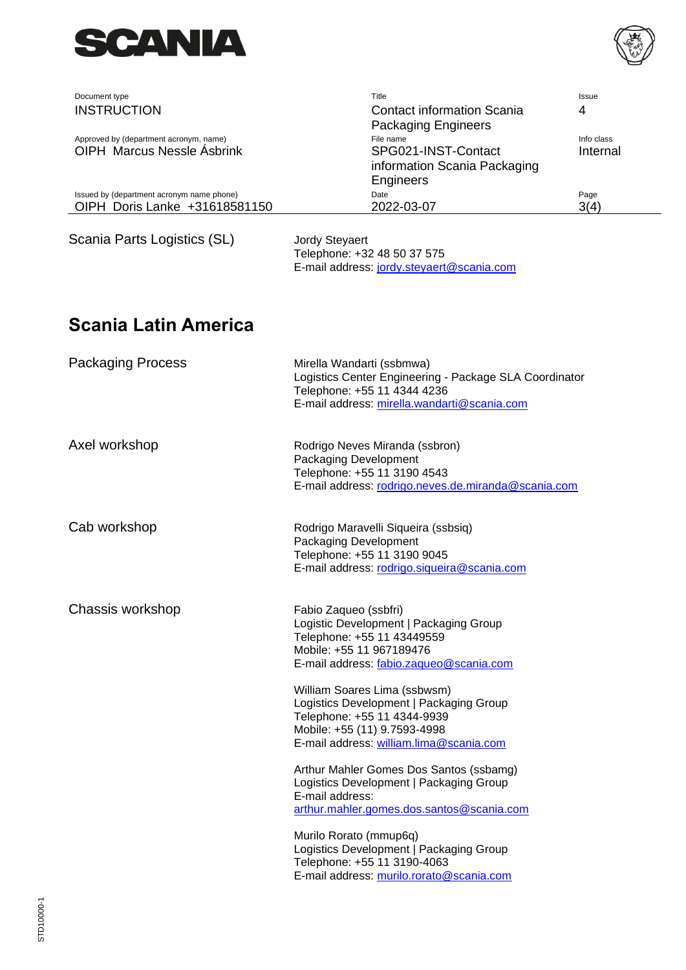



| Document type                                                               | Title                                                                                                                                                                                                                                                                                                                                                                                                                                                                                                                                                                                | Issue                  |
|-----------------------------------------------------------------------------|--------------------------------------------------------------------------------------------------------------------------------------------------------------------------------------------------------------------------------------------------------------------------------------------------------------------------------------------------------------------------------------------------------------------------------------------------------------------------------------------------------------------------------------------------------------------------------------|------------------------|
| <b>INSTRUCTION</b>                                                          | <b>Contact information Scania</b><br><b>Packaging Engineers</b>                                                                                                                                                                                                                                                                                                                                                                                                                                                                                                                      | 4                      |
| Approved by (department acronym, name)<br><b>OIPH Marcus Nessle Asbrink</b> | File name<br>SPG021-INST-Contact<br>information Scania Packaging                                                                                                                                                                                                                                                                                                                                                                                                                                                                                                                     | Info class<br>Internal |
| Issued by (department acronym name phone)<br>OIPH Doris Lanke +31618581150  | Engineers<br>Date<br>2022-03-07                                                                                                                                                                                                                                                                                                                                                                                                                                                                                                                                                      | Page<br>3(4)           |
| Scania Parts Logistics (SL)                                                 | Jordy Steyaert<br>Telephone: +32 48 50 37 575<br>E-mail address: jordy.steyaert@scania.com                                                                                                                                                                                                                                                                                                                                                                                                                                                                                           |                        |
| Scania Latin America                                                        |                                                                                                                                                                                                                                                                                                                                                                                                                                                                                                                                                                                      |                        |
| <b>Packaging Process</b>                                                    | Mirella Wandarti (ssbmwa)<br>Logistics Center Engineering - Package SLA Coordinator<br>Telephone: +55 11 4344 4236<br>E-mail address: mirella.wandarti@scania.com                                                                                                                                                                                                                                                                                                                                                                                                                    |                        |
| Axel workshop                                                               | Rodrigo Neves Miranda (ssbron)<br>Packaging Development<br>Telephone: +55 11 3190 4543<br>E-mail address: rodrigo.neves.de.miranda@scania.com                                                                                                                                                                                                                                                                                                                                                                                                                                        |                        |
| Cab workshop                                                                | Rodrigo Maravelli Siqueira (ssbsiq)<br>Packaging Development<br>Telephone: +55 11 3190 9045<br>E-mail address: rodrigo.siqueira@scania.com                                                                                                                                                                                                                                                                                                                                                                                                                                           |                        |
| Chassis workshop                                                            | Fabio Zaqueo (ssbfri)<br>Logistic Development   Packaging Group<br>Telephone: +55 11 43449559<br>Mobile: +55 11 967189476<br>E-mail address: fabio.zaqueo@scania.com<br>William Soares Lima (ssbwsm)<br>Logistics Development   Packaging Group<br>Telephone: +55 11 4344-9939<br>Mobile: +55 (11) 9.7593-4998<br>E-mail address: william.lima@scania.com<br>Arthur Mahler Gomes Dos Santos (ssbamg)<br>Logistics Development   Packaging Group<br>E-mail address:<br>arthur.mahler.gomes.dos.santos@scania.com<br>Murilo Rorato (mmup6q)<br>Logistics Development   Packaging Group |                        |
|                                                                             | Telephone: +55 11 3190-4063<br>E-mail address: murilo.rorato@scania.com                                                                                                                                                                                                                                                                                                                                                                                                                                                                                                              |                        |